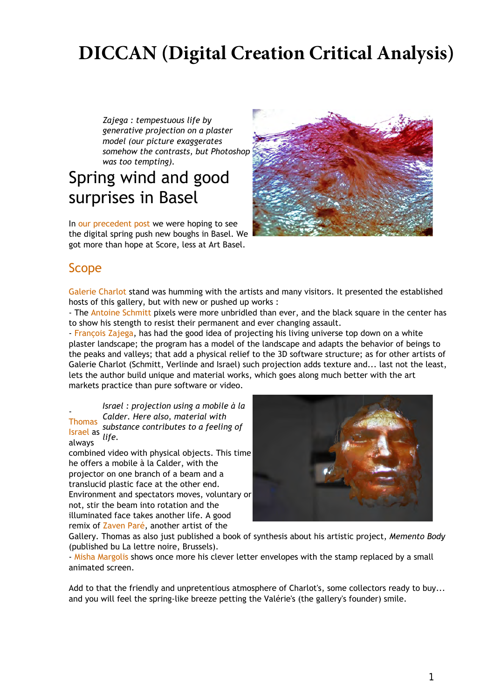# **DICCAN (Digital Creation Critical Analysis)**

*Zajega : tempestuous life by generative projection on a plaster model (our picture exaggerates somehow the contrasts, but Photoshop was too tempting).*

## Spring wind and good surprises in Basel

In our precedent post we were hoping to see the digital spring push new boughs in Basel. We got more than hope at Score, less at Art Basel.



### Scope

Galerie Charlot stand was humming with the artists and many visitors. It presented the established hosts of this gallery, but with new or pushed up works :

- The Antoine Schmitt pixels were more unbridled than ever, and the black square in the center has to show his stength to resist their permanent and ever changing assault.

- François Zajega, has had the good idea of projecting his living universe top down on a white plaster landscape; the program has a model of the landscape and adapts the behavior of beings to the peaks and valleys; that add a physical relief to the 3D software structure; as for other artists of Galerie Charlot (Schmitt, Verlinde and Israel) such projection adds texture and... last not the least, lets the author build unique and material works, which goes along much better with the art markets practice than pure software or video.

*Israel : projection using a mobile à la Calder. Here also, material with substance contributes to a feeling of life.* - **Thomas** Israel as always

combined video with physical objects. This time he offers a mobile à la Calder, with the projector on one branch of a beam and a translucid plastic face at the other end. Environment and spectators moves, voluntary or not, stir the beam into rotation and the illuminated face takes another life. A good remix of Zaven Paré, another artist of the



Gallery. Thomas as also just published a book of synthesis about his artistic project, *Memento Body* (published bu La lettre noire, Brussels).

- Misha Margolis shows once more his clever letter envelopes with the stamp replaced by a small animated screen.

Add to that the friendly and unpretentious atmosphere of Charlot's, some collectors ready to buy... and you will feel the spring-like breeze petting the Valérie's (the gallery's founder) smile.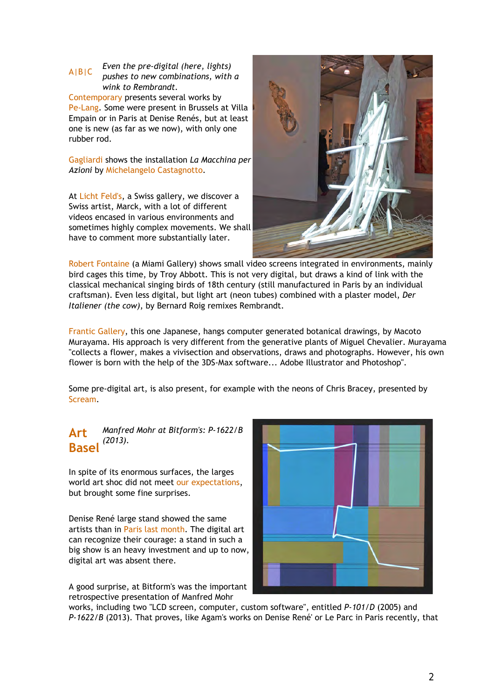#### *Even the pre-digital (here, lights) pushes to new combinations, with a wink to Rembrandt.* A|B|C Contemporary presents several works by

Pe-Lang. Some were present in Brussels at Villa Empain or in Paris at Denise Renés, but at least one is new (as far as we now), with only one rubber rod.

Gagliardi shows the installation *La Macchina per Azioni* by Michelangelo Castagnotto.

At Licht Feld's, a Swiss gallery, we discover a Swiss artist, Marck, with a lot of different videos encased in various environments and sometimes highly complex movements. We shall have to comment more substantially later.



Robert Fontaine (a Miami Gallery) shows small video screens integrated in environments, mainly bird cages this time, by Troy Abbott. This is not very digital, but draws a kind of link with the classical mechanical singing birds of 18th century (still manufactured in Paris by an individual craftsman). Even less digital, but light art (neon tubes) combined with a plaster model, *Der Italiener (the cow)*, by Bernard Roig remixes Rembrandt.

Frantic Gallery, this one Japanese, hangs computer generated botanical drawings, by Macoto Murayama. His approach is very different from the generative plants of Miguel Chevalier. Murayama "collects a flower, makes a vivisection and observations, draws and photographs. However, his own flower is born with the help of the 3DS-Max software... Adobe Illustrator and Photoshop".

Some pre-digital art, is also present, for example with the neons of Chris Bracey, presented by Scream.

#### *Manfred Mohr at Bitform's: P-1622/B (2013).* **Art Basel**

In spite of its enormous surfaces, the larges world art shoc did not meet our expectations, but brought some fine surprises.

Denise René large stand showed the same artists than in Paris last month. The digital art can recognize their courage: a stand in such a big show is an heavy investment and up to now, digital art was absent there.

A good surprise, at Bitform's was the important retrospective presentation of Manfred Mohr



works, including two "LCD screen, computer, custom software", entitled *P-101/D* (2005) and *P-1622/B* (2013). That proves, like Agam's works on Denise René' or Le Parc in Paris recently, that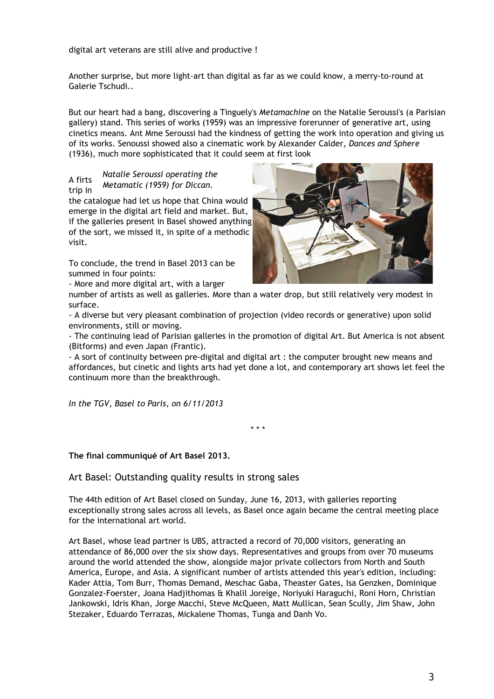digital art veterans are still alive and productive !

Another surprise, but more light-art than digital as far as we could know, a merry-to-round at Galerie Tschudi..

But our heart had a bang, discovering a Tinguely's *Metamachine* on the Natalie Seroussi's (a Parisian gallery) stand. This series of works (1959) was an impressive forerunner of generative art, using cinetics means. Ant Mme Seroussi had the kindness of getting the work into operation and giving us of its works. Senoussi showed also a cinematic work by Alexander Calder, *Dances and Sphere* (1936), much more sophisticated that it could seem at first look

#### *Natalie Seroussi operating the Metamatic (1959) for Diccan.* A firts trip in

the catalogue had let us hope that China would emerge in the digital art field and market. But, if the galleries present in Basel showed anything of the sort, we missed it, in spite of a methodic visit.

To conclude, the trend in Basel 2013 can be summed in four points:

- More and more digital art, with a larger



number of artists as well as galleries. More than a water drop, but still relatively very modest in surface.

- A diverse but very pleasant combination of projection (video records or generative) upon solid environments, still or moving.

- The continuing lead of Parisian galleries in the promotion of digital Art. But America is not absent (Bitforms) and even Japan (Frantic).

- A sort of continuity between pre-digital and digital art : the computer brought new means and affordances, but cinetic and lights arts had yet done a lot, and contemporary art shows let feel the continuum more than the breakthrough.

*In the TGV, Basel to Paris, on 6/11/2013*

\* \* \*

**The final communiqué of Art Basel 2013.**

Art Basel: Outstanding quality results in strong sales

The 44th edition of Art Basel closed on Sunday, June 16, 2013, with galleries reporting exceptionally strong sales across all levels, as Basel once again became the central meeting place for the international art world.

Art Basel, whose lead partner is UBS, attracted a record of 70,000 visitors, generating an attendance of 86,000 over the six show days. Representatives and groups from over 70 museums around the world attended the show, alongside major private collectors from North and South America, Europe, and Asia. A significant number of artists attended this year's edition, including: Kader Attia, Tom Burr, Thomas Demand, Meschac Gaba, Theaster Gates, Isa Genzken, Dominique Gonzalez-Foerster, Joana Hadjithomas & Khalil Joreige, Noriyuki Haraguchi, Roni Horn, Christian Jankowski, Idris Khan, Jorge Macchi, Steve McQueen, Matt Mullican, Sean Scully, Jim Shaw, John Stezaker, Eduardo Terrazas, Mickalene Thomas, Tunga and Danh Vo.